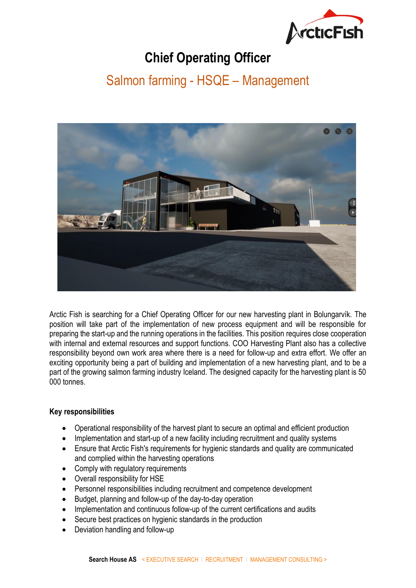

# **Chief Operating Officer**

## Salmon farming - HSQE – Management



Arctic Fish is searching for a Chief Operating Officer for our new harvesting plant in Bolungarvík. The position will take part of the implementation of new process equipment and will be responsible for preparing the start-up and the running operations in the facilities. This position requires close cooperation with internal and external resources and support functions. COO Harvesting Plant also has a collective responsibility beyond own work area where there is a need for follow-up and extra effort. We offer an exciting opportunity being a part of building and implementation of a new harvesting plant, and to be a part of the growing salmon farming industry Iceland. The designed capacity for the harvesting plant is 50 000 tonnes.

### **Key responsibilities**

- Operational responsibility of the harvest plant to secure an optimal and efficient production
- Implementation and start-up of a new facility including recruitment and quality systems
- Ensure that Arctic Fish's requirements for hygienic standards and quality are communicated and complied within the harvesting operations
- Comply with regulatory requirements
- Overall responsibility for HSE
- Personnel responsibilities including recruitment and competence development
- Budget, planning and follow-up of the day-to-day operation
- Implementation and continuous follow-up of the current certifications and audits
- Secure best practices on hygienic standards in the production
- Deviation handling and follow-up